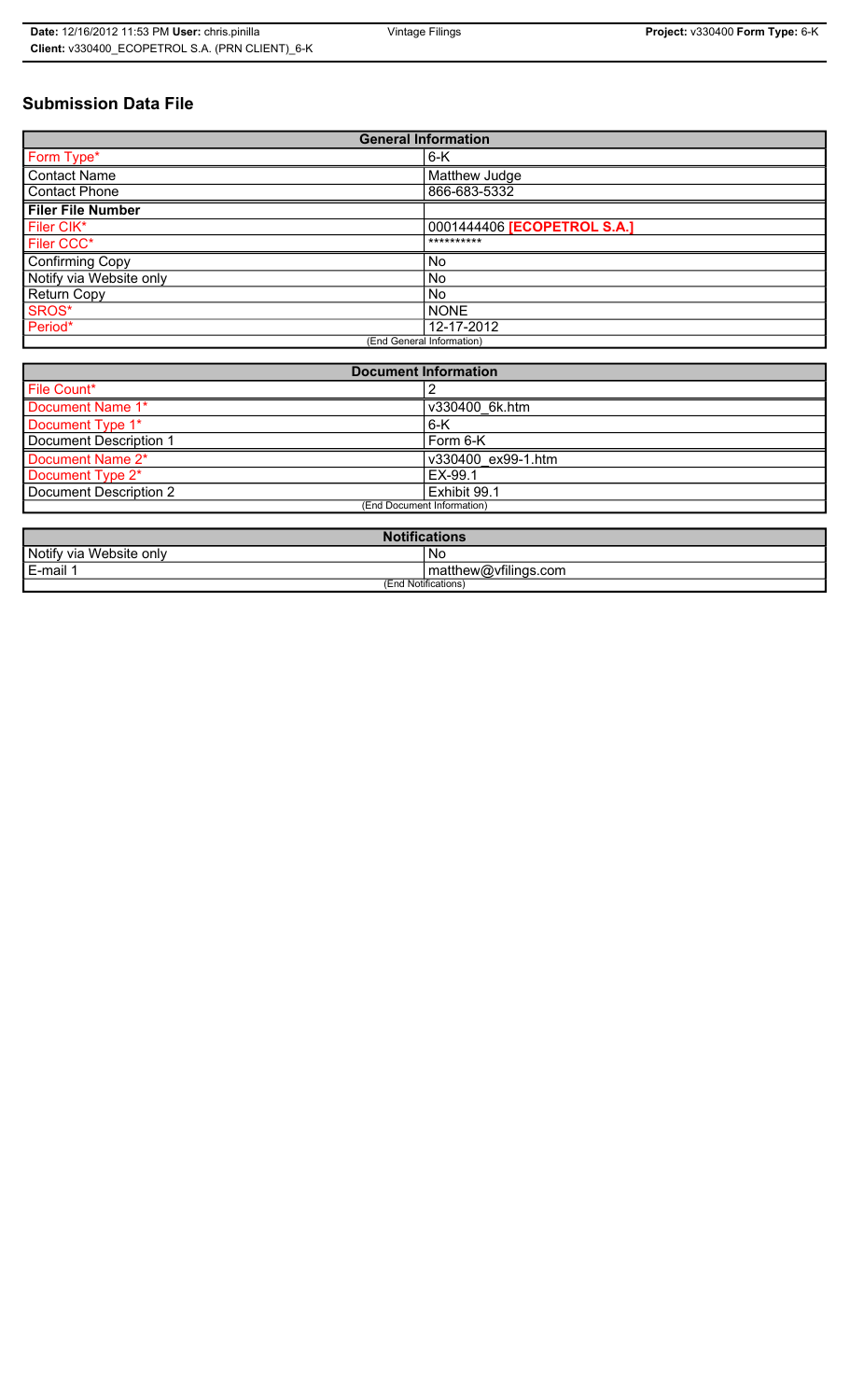# **Submission Data File**

| <b>General Information</b> |                             |  |  |
|----------------------------|-----------------------------|--|--|
| Form Type*                 | $6-K$                       |  |  |
| <b>Contact Name</b>        | Matthew Judge               |  |  |
| <b>Contact Phone</b>       | 866-683-5332                |  |  |
| <b>Filer File Number</b>   |                             |  |  |
| Filer CIK*                 | 0001444406 [ECOPETROL S.A.] |  |  |
| Filer CCC*                 | **********                  |  |  |
| Confirming Copy            | <b>No</b>                   |  |  |
| Notify via Website only    | <b>No</b>                   |  |  |
| <b>Return Copy</b>         | <b>No</b>                   |  |  |
| SROS*                      | <b>NONE</b>                 |  |  |
| Period*                    | 12-17-2012                  |  |  |
| (End General Information)  |                             |  |  |

| <b>Document Information</b> |                    |  |
|-----------------------------|--------------------|--|
| File Count*                 |                    |  |
| Document Name 1*            | v330400 6k.htm     |  |
| Document Type 1*            | $6-K$              |  |
| Document Description 1      | Form 6-K           |  |
| Document Name 2*            | v330400 ex99-1.htm |  |
| Document Type 2*            | EX-99.1            |  |
| Document Description 2      | Exhibit 99.1       |  |
| (End Document Information)  |                    |  |
|                             |                    |  |

| <b>Notifications</b>    |                      |  |
|-------------------------|----------------------|--|
| Notify via Website only | ' No                 |  |
| E-mail 1                | matthew@vfilings.com |  |
| (End Notifications)     |                      |  |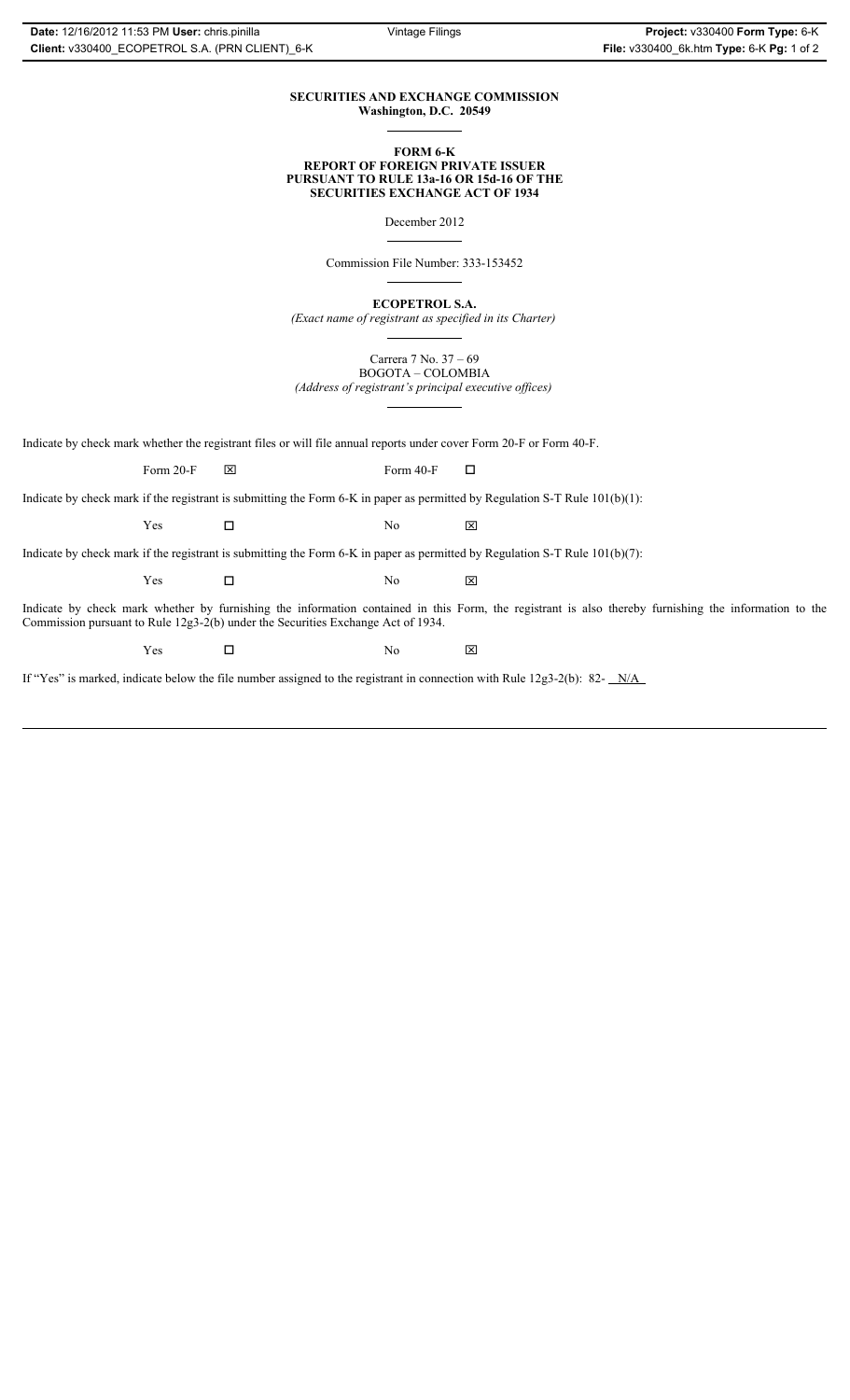# **SECURITIES AND EXCHANGE COMMISSION Washington, D.C. 20549**

### **FORM 6-K REPORT OF FOREIGN PRIVATE ISSUER PURSUANT TO RULE 13a-16 OR 15d-16 OF THE SECURITIES EXCHANGE ACT OF 1934**

December 2012

Commission File Number: 333-153452

**ECOPETROL S.A.**

*(Exact name of registrant as specified in its Charter)*

Carrera 7 No. 37 – 69 BOGOTA – COLOMBIA

*(Address of registrant's principal executive offices)*

Indicate by check mark whether the registrant files or will file annual reports under cover Form 20-F or Form 40-F.

Form 20-F  $\boxtimes$  Form 40-F  $\Box$ 

Indicate by check mark if the registrant is submitting the Form 6-K in paper as permitted by Regulation S-T Rule 101(b)(1):

 $Yes$   $\Box$   $No$   $X$ 

Indicate by check mark if the registrant is submitting the Form 6-K in paper as permitted by Regulation S-T Rule 101(b)(7):

 $Yes$   $\Box$   $No$   $X$ 

Indicate by check mark whether by furnishing the information contained in this Form, the registrant is also thereby furnishing the information to the Commission pursuant to Rule 12g3-2(b) under the Securities Exchange Act of 1934.

 $Yes$   $\square$ 

If "Yes" is marked, indicate below the file number assigned to the registrant in connection with Rule 12g3-2(b): 82- N/A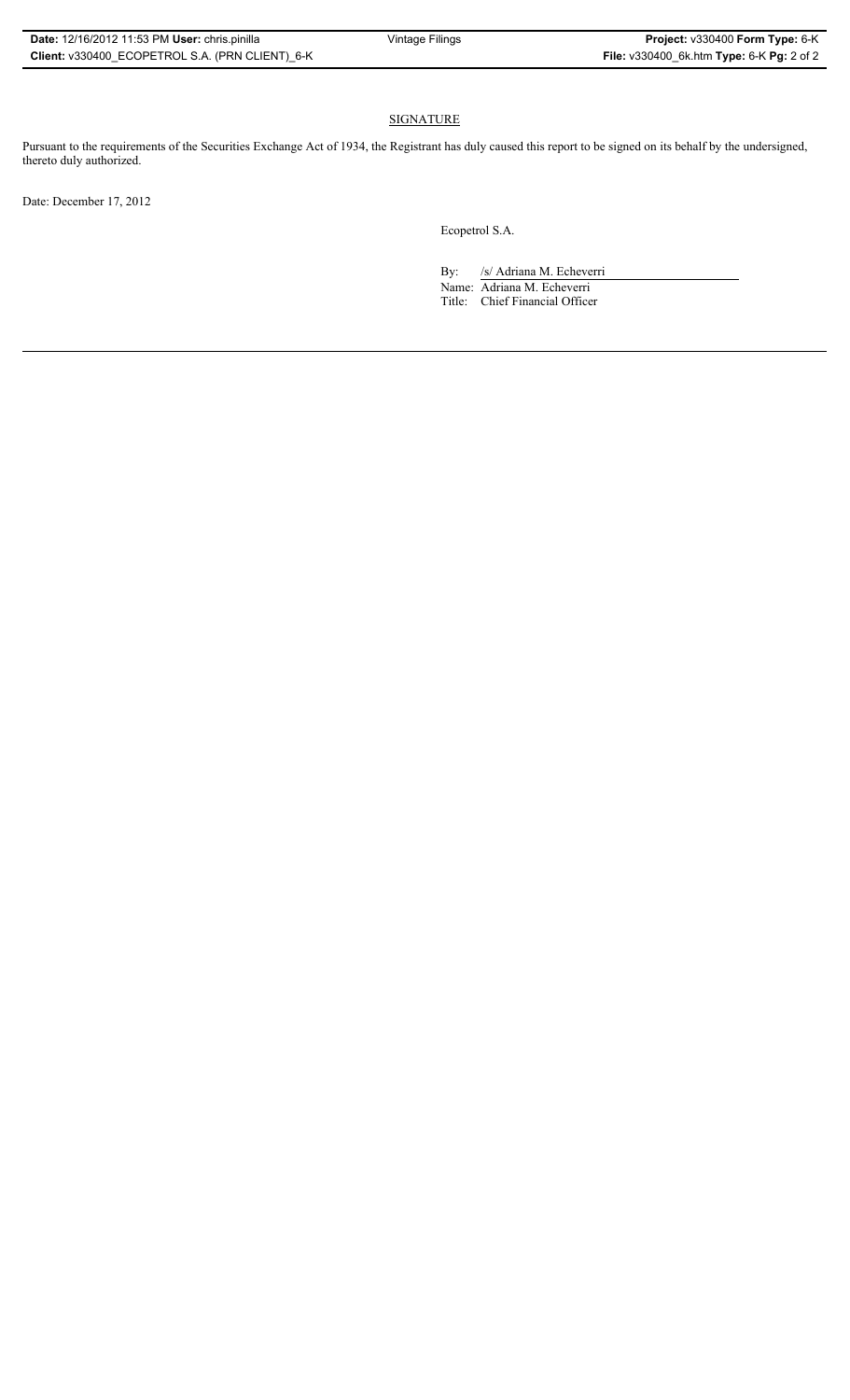# SIGNATURE

Pursuant to the requirements of the Securities Exchange Act of 1934, the Registrant has duly caused this report to be signed on its behalf by the undersigned, thereto duly authorized.

Date: December 17, 2012

Ecopetrol S.A.

By: /s/ Adriana M. Echeverri

Name: Adriana M. Echeverri Title: Chief Financial Officer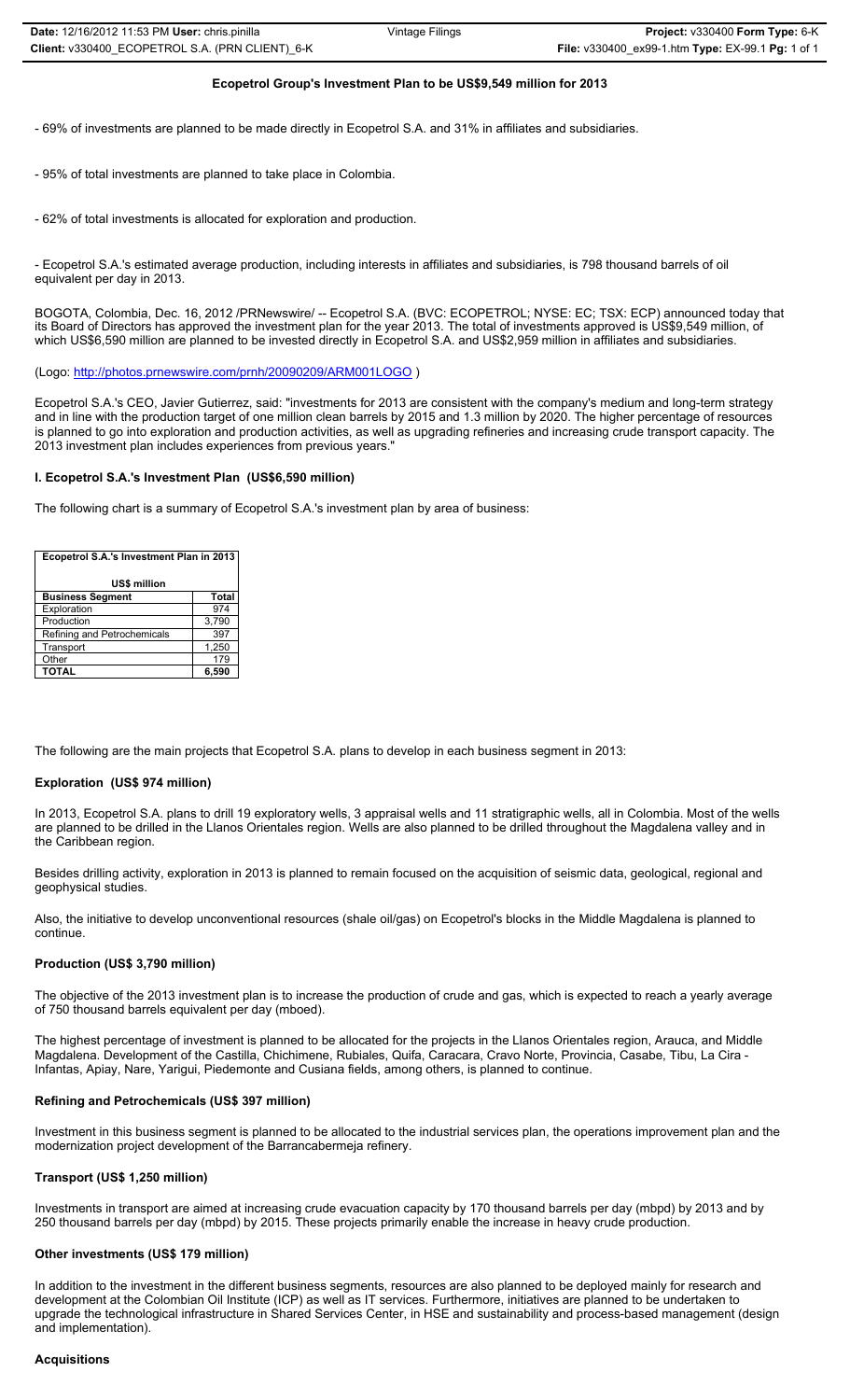# **Ecopetrol Group's Investment Plan to be US\$9,549 million for 2013**

- 69% of investments are planned to be made directly in Ecopetrol S.A. and 31% in affiliates and subsidiaries.

- 95% of total investments are planned to take place in Colombia.

- 62% of total investments is allocated for exploration and production.

- Ecopetrol S.A.'s estimated average production, including interests in affiliates and subsidiaries, is 798 thousand barrels of oil equivalent per day in 2013.

BOGOTA, Colombia, Dec. 16, 2012 /PRNewswire/ -- Ecopetrol S.A. (BVC: ECOPETROL; NYSE: EC; TSX: ECP) announced today that its Board of Directors has approved the investment plan for the year 2013. The total of investments approved is US\$9,549 million, of which US\$6,590 million are planned to be invested directly in Ecopetrol S.A. and US\$2,959 million in affiliates and subsidiaries.

(Logo: http://photos.prnewswire.com/prnh/20090209/ARM001LOGO )

Ecopetrol S.A.'s CEO, Javier Gutierrez, said: "investments for 2013 are consistent with the company's medium and long-term strategy and in line with the production target of one million clean barrels by 2015 and 1.3 million by 2020. The higher percentage of resources is planned to go into exploration and production activities, as well as upgrading refineries and increasing crude transport capacity. The 2013 investment plan includes experiences from previous years."

### **I. Ecopetrol S.A.'s Investment Plan (US\$6,590 million)**

The following chart is a summary of Ecopetrol S.A.'s investment plan by area of business:

| Ecopetrol S.A.'s Investment Plan in 2013 |              |  |
|------------------------------------------|--------------|--|
| US\$ million                             |              |  |
| <b>Business Segment</b>                  | <b>Total</b> |  |
| Exploration                              | 974          |  |
| Production                               | 3,790        |  |
| Refining and Petrochemicals              | 397          |  |
| Transport                                | 1,250        |  |
| Other                                    | 179          |  |
| <b>TOTAL</b>                             | 6.590        |  |

The following are the main projects that Ecopetrol S.A. plans to develop in each business segment in 2013:

# **Exploration (US\$ 974 million)**

In 2013, Ecopetrol S.A. plans to drill 19 exploratory wells, 3 appraisal wells and 11 stratigraphic wells, all in Colombia. Most of the wells are planned to be drilled in the Llanos Orientales region. Wells are also planned to be drilled throughout the Magdalena valley and in the Caribbean region.

Besides drilling activity, exploration in 2013 is planned to remain focused on the acquisition of seismic data, geological, regional and geophysical studies.

Also, the initiative to develop unconventional resources (shale oil/gas) on Ecopetrol's blocks in the Middle Magdalena is planned to continue.

#### **Production (US\$ 3,790 million)**

The objective of the 2013 investment plan is to increase the production of crude and gas, which is expected to reach a yearly average of 750 thousand barrels equivalent per day (mboed).

The highest percentage of investment is planned to be allocated for the projects in the Llanos Orientales region, Arauca, and Middle Magdalena. Development of the Castilla, Chichimene, Rubiales, Quifa, Caracara, Cravo Norte, Provincia, Casabe, Tibu, La Cira - Infantas, Apiay, Nare, Yarigui, Piedemonte and Cusiana fields, among others, is planned to continue.

# **Refining and Petrochemicals (US\$ 397 million)**

Investment in this business segment is planned to be allocated to the industrial services plan, the operations improvement plan and the modernization project development of the Barrancabermeja refinery.

## **Transport (US\$ 1,250 million)**

Investments in transport are aimed at increasing crude evacuation capacity by 170 thousand barrels per day (mbpd) by 2013 and by 250 thousand barrels per day (mbpd) by 2015. These projects primarily enable the increase in heavy crude production.

## **Other investments (US\$ 179 million)**

In addition to the investment in the different business segments, resources are also planned to be deployed mainly for research and development at the Colombian Oil Institute (ICP) as well as IT services. Furthermore, initiatives are planned to be undertaken to upgrade the technological infrastructure in Shared Services Center, in HSE and sustainability and process-based management (design and implementation).

#### **Acquisitions**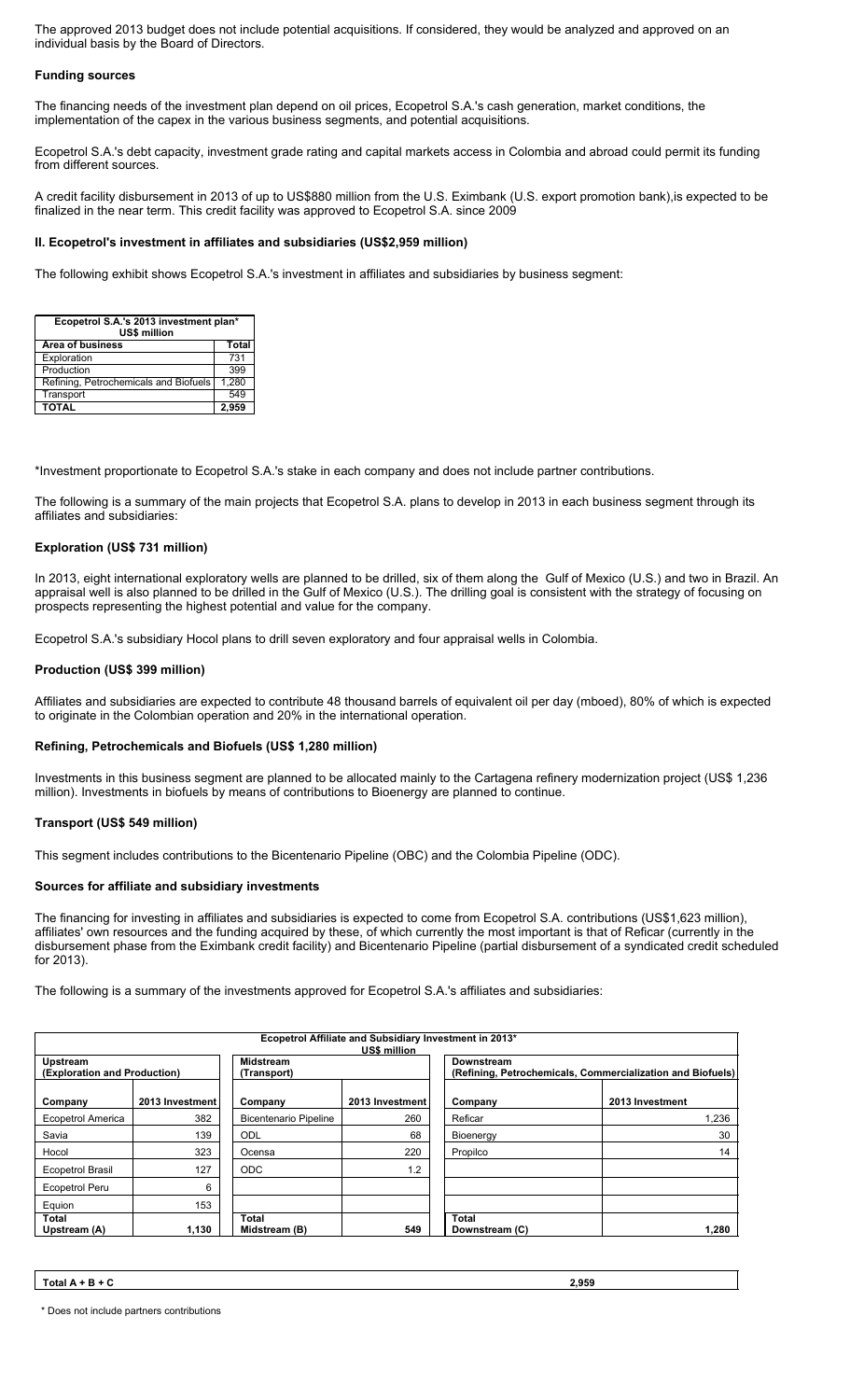The approved 2013 budget does not include potential acquisitions. If considered, they would be analyzed and approved on an individual basis by the Board of Directors.

# **Funding sources**

The financing needs of the investment plan depend on oil prices, Ecopetrol S.A.'s cash generation, market conditions, the implementation of the capex in the various business segments, and potential acquisitions.

Ecopetrol S.A.'s debt capacity, investment grade rating and capital markets access in Colombia and abroad could permit its funding from different sources.

A credit facility disbursement in 2013 of up to US\$880 million from the U.S. Eximbank (U.S. export promotion bank),is expected to be finalized in the near term. This credit facility was approved to Ecopetrol S.A. since 2009

# **II. Ecopetrol's investment in affiliates and subsidiaries (US\$2,959 million)**

The following exhibit shows Ecopetrol S.A.'s investment in affiliates and subsidiaries by business segment:

| Ecopetrol S.A.'s 2013 investment plan*<br>US\$ million |              |  |
|--------------------------------------------------------|--------------|--|
| <b>Area of business</b>                                | <b>Total</b> |  |
| Exploration                                            | 731          |  |
| Production                                             | 399          |  |
| Refining, Petrochemicals and Biofuels                  | 1,280        |  |
| Transport                                              | 549          |  |
| <b>TOTAL</b>                                           | 2.959        |  |

\*Investment proportionate to Ecopetrol S.A.'s stake in each company and does not include partner contributions.

The following is a summary of the main projects that Ecopetrol S.A. plans to develop in 2013 in each business segment through its affiliates and subsidiaries:

# **Exploration (US\$ 731 million)**

In 2013, eight international exploratory wells are planned to be drilled, six of them along the Gulf of Mexico (U.S.) and two in Brazil. An appraisal well is also planned to be drilled in the Gulf of Mexico (U.S.). The drilling goal is consistent with the strategy of focusing on prospects representing the highest potential and value for the company.

Ecopetrol S.A.'s subsidiary Hocol plans to drill seven exploratory and four appraisal wells in Colombia.

## **Production (US\$ 399 million)**

Affiliates and subsidiaries are expected to contribute 48 thousand barrels of equivalent oil per day (mboed), 80% of which is expected to originate in the Colombian operation and 20% in the international operation.

## **Refining, Petrochemicals and Biofuels (US\$ 1,280 million)**

Investments in this business segment are planned to be allocated mainly to the Cartagena refinery modernization project (US\$ 1,236 million). Investments in biofuels by means of contributions to Bioenergy are planned to continue.

## **Transport (US\$ 549 million)**

This segment includes contributions to the Bicentenario Pipeline (OBC) and the Colombia Pipeline (ODC).

# **Sources for affiliate and subsidiary investments**

The financing for investing in affiliates and subsidiaries is expected to come from Ecopetrol S.A. contributions (US\$1,623 million), affiliates' own resources and the funding acquired by these, of which currently the most important is that of Reficar (currently in the disbursement phase from the Eximbank credit facility) and Bicentenario Pipeline (partial disbursement of a syndicated credit scheduled for 2013).

The following is a summary of the investments approved for Ecopetrol S.A.'s affiliates and subsidiaries:

| Ecopetrol Affiliate and Subsidiary Investment in 2013*<br>US\$ million |                 |                                 |                 |                                                                          |                 |
|------------------------------------------------------------------------|-----------------|---------------------------------|-----------------|--------------------------------------------------------------------------|-----------------|
| Upstream<br>(Exploration and Production)                               |                 | <b>Midstream</b><br>(Transport) |                 | Downstream<br>(Refining, Petrochemicals, Commercialization and Biofuels) |                 |
| Company                                                                | 2013 Investment | Company                         | 2013 Investment | Company                                                                  | 2013 Investment |
| <b>Ecopetrol America</b>                                               | 382             | <b>Bicentenario Pipeline</b>    | 260             | Reficar                                                                  | 1.236           |
| Savia                                                                  | 139             | ODL                             | 68              | Bioenergy                                                                | 30              |
| Hocol                                                                  | 323             | Ocensa                          | 220             | Propilco                                                                 | 14              |
| <b>Ecopetrol Brasil</b>                                                | 127             | <b>ODC</b>                      | 1.2             |                                                                          |                 |
| Ecopetrol Peru                                                         | 6               |                                 |                 |                                                                          |                 |
| Equion                                                                 | 153             |                                 |                 |                                                                          |                 |
| Total<br>Upstream (A)                                                  | 1.130           | Total<br>Midstream (B)          | 549             | Total<br>Downstream (C)                                                  | 1,280           |

| $\sim$<br>Total A + $\Box$<br>B + C | 2,959 |
|-------------------------------------|-------|
|                                     |       |

\* Does not include partners contributions